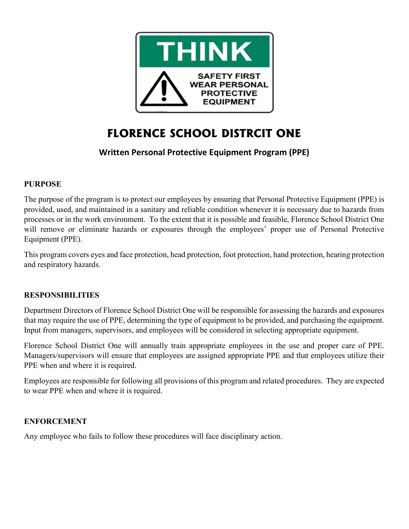

# FLORENCE SCHOOL DISTRCIT ONE

# Written Personal Protective Equipment Program (PPE)

# PURPOSE

The purpose of the program is to protect our employees by ensuring that Personal Protective Equipment (PPE) is provided, used, and maintained in a sanitary and reliable condition whenever it is necessary due to hazards from processes or in the work environment. To the extent that it is possible and feasible, Florence School District One will remove or eliminate hazards or exposures through the employees' proper use of Personal Protective Equipment (PPE).

This program covers eyes and face protection, head protection, foot protection, hand protection, hearing protection and respiratory hazards.

#### RESPONSIBILITIES

Department Directors of Florence School District One will be responsible for assessing the hazards and exposures that may require the use of PPE, determining the type of equipment to be provided, and purchasing the equipment. Input from managers, supervisors, and employees will be considered in selecting appropriate equipment.

Florence School District One will annually train appropriate employees in the use and proper care of PPE. Managers/supervisors will ensure that employees are assigned appropriate PPE and that employees utilize their PPE when and where it is required.

Employees are responsible for following all provisions of this program and related procedures. They are expected to wear PPE when and where it is required.

#### ENFORCEMENT

Any employee who fails to follow these procedures will face disciplinary action.